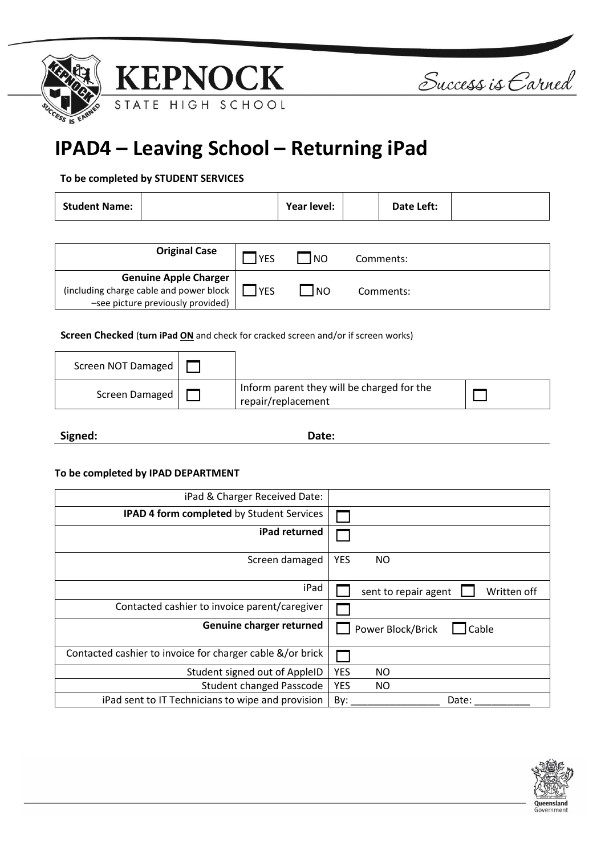





**IPAD4 – Leaving School – Returning iPad**

## **To be completed by STUDENT SERVICES**

| <b>Student Name:</b> | Year level: | Date Left: |  |
|----------------------|-------------|------------|--|
|----------------------|-------------|------------|--|

| <b>Original Case</b>                                                                                     | <b>YES</b>  | l NO | Comments: |  |
|----------------------------------------------------------------------------------------------------------|-------------|------|-----------|--|
| Genuine Apple Charger<br>  including charge cable and power block  <br>-see picture previously provided) | <b>IYES</b> | I NO | Comments: |  |

**Screen Checked** (**turn iPad ON** and check for cracked screen and/or if screen works)

| Screen NOT Damaged |                                                                  |  |
|--------------------|------------------------------------------------------------------|--|
| Screen Damaged     | Inform parent they will be charged for the<br>repair/replacement |  |

**Signed: Date:**

## **To be completed by IPAD DEPARTMENT**

| iPad & Charger Received Date:                             |                                     |
|-----------------------------------------------------------|-------------------------------------|
| <b>IPAD 4 form completed by Student Services</b>          |                                     |
| iPad returned                                             |                                     |
| Screen damaged                                            | <b>YES</b><br>NO.                   |
| iPad                                                      | Written off<br>sent to repair agent |
| Contacted cashier to invoice parent/caregiver             |                                     |
| Genuine charger returned                                  | Power Block/Brick<br>Cable          |
| Contacted cashier to invoice for charger cable &/or brick |                                     |
| Student signed out of AppleID                             | <b>YES</b><br>NO.                   |
| <b>Student changed Passcode</b>                           | <b>YES</b><br>NO.                   |
| iPad sent to IT Technicians to wipe and provision         | By:<br>Date:                        |